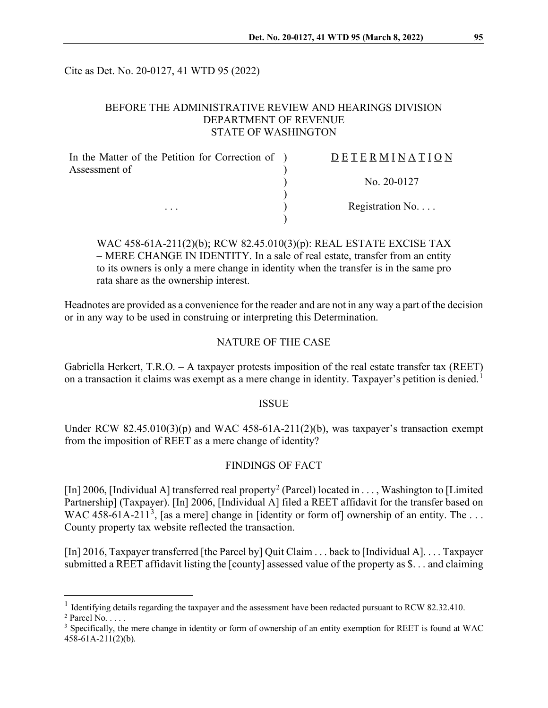Cite as Det. No. 20-0127, 41 WTD 95 (2022)

## BEFORE THE ADMINISTRATIVE REVIEW AND HEARINGS DIVISION DEPARTMENT OF REVENUE STATE OF WASHINGTON

| In the Matter of the Petition for Correction of ) | DETERMINATION   |
|---------------------------------------------------|-----------------|
| Assessment of                                     |                 |
|                                                   | No. $20-0127$   |
|                                                   |                 |
| $\cdots$                                          | Registration No |
|                                                   |                 |

# WAC 458-61A-211(2)(b); RCW 82.45.010(3)(p): REAL ESTATE EXCISE TAX – MERE CHANGE IN IDENTITY. In a sale of real estate, transfer from an entity to its owners is only a mere change in identity when the transfer is in the same pro rata share as the ownership interest.

Headnotes are provided as a convenience for the reader and are not in any way a part of the decision or in any way to be used in construing or interpreting this Determination.

### NATURE OF THE CASE

Gabriella Herkert, T.R.O. – A taxpayer protests imposition of the real estate transfer tax (REET) on a transaction it claims was exempt as a mere change in identity. Taxpayer's petition is denied.<sup>[1](#page-0-0)</sup>

### ISSUE

Under RCW  $82.45.010(3)(p)$  and WAC  $458-61A-211(2)(b)$ , was taxpayer's transaction exempt from the imposition of REET as a mere change of identity?

### FINDINGS OF FACT

[In] [2](#page-0-1)006, [Individual A] transferred real property<sup>2</sup> (Parcel) located in . . . , Washington to [Limited] Partnership] (Taxpayer). [In] 2006, [Individual A] filed a REET affidavit for the transfer based on WAC 458-61A-211<sup>[3](#page-0-2)</sup>, [as a mere] change in [identity or form of] ownership of an entity. The ... County property tax website reflected the transaction.

[In] 2016, Taxpayer transferred [the Parcel by] Quit Claim . . . back to [Individual A]. . . . Taxpayer submitted a REET affidavit listing the [county] assessed value of the property as \$. . . and claiming

<span id="page-0-0"></span><sup>&</sup>lt;sup>1</sup> Identifying details regarding the taxpayer and the assessment have been redacted pursuant to RCW 82.32.410.

<span id="page-0-1"></span><sup>&</sup>lt;sup>2</sup> Parcel No.  $\dots$ 

<span id="page-0-2"></span><sup>&</sup>lt;sup>3</sup> Specifically, the mere change in identity or form of ownership of an entity exemption for REET is found at WAC 458-61A-211(2)(b).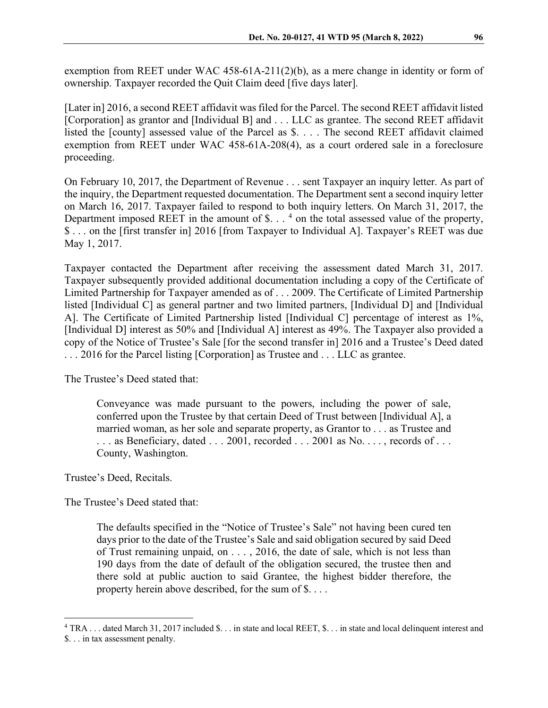exemption from REET under WAC 458-61A-211(2)(b), as a mere change in identity or form of ownership. Taxpayer recorded the Quit Claim deed [five days later].

[Later in] 2016, a second REET affidavit was filed for the Parcel. The second REET affidavit listed [Corporation] as grantor and [Individual B] and . . . LLC as grantee. The second REET affidavit listed the [county] assessed value of the Parcel as \$. . . . The second REET affidavit claimed exemption from REET under WAC 458-61A-208(4), as a court ordered sale in a foreclosure proceeding.

On February 10, 2017, the Department of Revenue . . . sent Taxpayer an inquiry letter. As part of the inquiry, the Department requested documentation. The Department sent a second inquiry letter on March 16, 2017. Taxpayer failed to respond to both inquiry letters. On March 31, 2017, the Department imposed REET in the amount of  $\hat{\mathcal{S}}$ . . . <sup>[4](#page-1-0)</sup> on the total assessed value of the property, \$ . . . on the [first transfer in] 2016 [from Taxpayer to Individual A]. Taxpayer's REET was due May 1, 2017.

Taxpayer contacted the Department after receiving the assessment dated March 31, 2017. Taxpayer subsequently provided additional documentation including a copy of the Certificate of Limited Partnership for Taxpayer amended as of . . . 2009. The Certificate of Limited Partnership listed [Individual C] as general partner and two limited partners, [Individual D] and [Individual A]. The Certificate of Limited Partnership listed [Individual C] percentage of interest as 1%, [Individual D] interest as 50% and [Individual A] interest as 49%. The Taxpayer also provided a copy of the Notice of Trustee's Sale [for the second transfer in] 2016 and a Trustee's Deed dated . . . 2016 for the Parcel listing [Corporation] as Trustee and . . . LLC as grantee.

The Trustee's Deed stated that:

Conveyance was made pursuant to the powers, including the power of sale, conferred upon the Trustee by that certain Deed of Trust between [Individual A], a married woman, as her sole and separate property, as Grantor to . . . as Trustee and  $\ldots$  as Beneficiary, dated  $\ldots$  2001, recorded  $\ldots$  2001 as No.  $\ldots$ , records of  $\ldots$ County, Washington.

Trustee's Deed, Recitals.

The Trustee's Deed stated that:

The defaults specified in the "Notice of Trustee's Sale" not having been cured ten days prior to the date of the Trustee's Sale and said obligation secured by said Deed of Trust remaining unpaid, on . . . , 2016, the date of sale, which is not less than 190 days from the date of default of the obligation secured, the trustee then and there sold at public auction to said Grantee, the highest bidder therefore, the property herein above described, for the sum of \$. . . .

<span id="page-1-0"></span><sup>4</sup> TRA . . . dated March 31, 2017 included \$. . . in state and local REET, \$. . . in state and local delinquent interest and \$. . . in tax assessment penalty.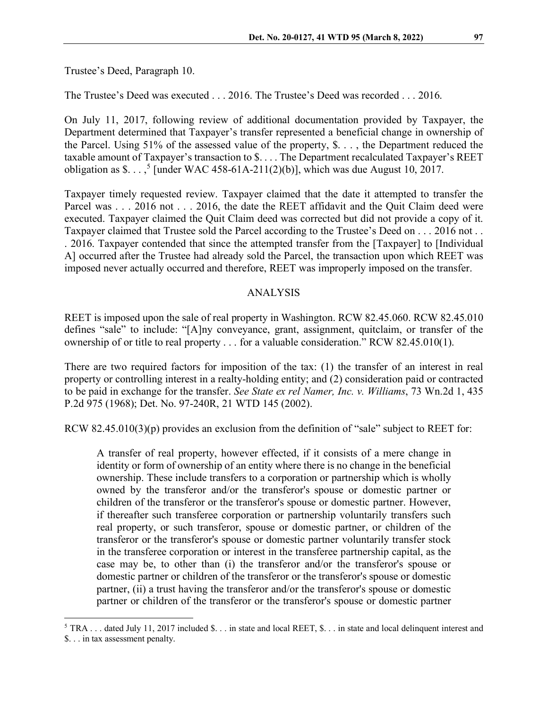The Trustee's Deed was executed . . . 2016. The Trustee's Deed was recorded . . . 2016.

On July 11, 2017, following review of additional documentation provided by Taxpayer, the Department determined that Taxpayer's transfer represented a beneficial change in ownership of the Parcel. Using 51% of the assessed value of the property, \$. . . , the Department reduced the taxable amount of Taxpayer's transaction to \$. . . . The Department recalculated Taxpayer's REET obligation as  $\$ . . . ,<sup>[5](#page-2-0)</sup> [under WAC 458-61A-211(2)(b)], which was due August 10, 2017.

Taxpayer timely requested review. Taxpayer claimed that the date it attempted to transfer the Parcel was . . . 2016 not . . . 2016, the date the REET affidavit and the Quit Claim deed were executed. Taxpayer claimed the Quit Claim deed was corrected but did not provide a copy of it. Taxpayer claimed that Trustee sold the Parcel according to the Trustee's Deed on . . . 2016 not . . . 2016. Taxpayer contended that since the attempted transfer from the [Taxpayer] to [Individual A] occurred after the Trustee had already sold the Parcel, the transaction upon which REET was imposed never actually occurred and therefore, REET was improperly imposed on the transfer.

#### ANALYSIS

REET is imposed upon the sale of real property in Washington. RCW 82.45.060. RCW 82.45.010 defines "sale" to include: "[A]ny conveyance, grant, assignment, quitclaim, or transfer of the ownership of or title to real property . . . for a valuable consideration." RCW 82.45.010(1).

There are two required factors for imposition of the tax: (1) the transfer of an interest in real property or controlling interest in a realty-holding entity; and (2) consideration paid or contracted to be paid in exchange for the transfer. *See State ex rel Namer, Inc. v. Williams*, 73 Wn.2d 1, 435 P.2d 975 (1968); Det. No. 97-240R, 21 WTD 145 (2002).

RCW 82.45.010(3)(p) provides an exclusion from the definition of "sale" subject to REET for:

A transfer of real property, however effected, if it consists of a mere change in identity or form of ownership of an entity where there is no change in the beneficial ownership. These include transfers to a corporation or partnership which is wholly owned by the transferor and/or the transferor's spouse or domestic partner or children of the transferor or the transferor's spouse or domestic partner. However, if thereafter such transferee corporation or partnership voluntarily transfers such real property, or such transferor, spouse or domestic partner, or children of the transferor or the transferor's spouse or domestic partner voluntarily transfer stock in the transferee corporation or interest in the transferee partnership capital, as the case may be, to other than (i) the transferor and/or the transferor's spouse or domestic partner or children of the transferor or the transferor's spouse or domestic partner, (ii) a trust having the transferor and/or the transferor's spouse or domestic partner or children of the transferor or the transferor's spouse or domestic partner

<span id="page-2-0"></span> $5$  TRA ... dated July 11, 2017 included \$... in state and local REET, \$... in state and local delinquent interest and \$. . . in tax assessment penalty.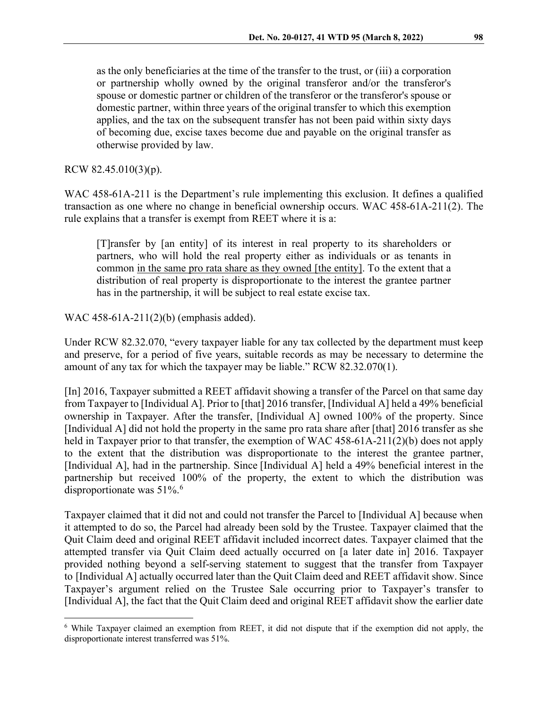as the only beneficiaries at the time of the transfer to the trust, or (iii) a corporation or partnership wholly owned by the original transferor and/or the transferor's spouse or domestic partner or children of the transferor or the transferor's spouse or domestic partner, within three years of the original transfer to which this exemption applies, and the tax on the subsequent transfer has not been paid within sixty days of becoming due, excise taxes become due and payable on the original transfer as otherwise provided by law.

RCW 82.45.010(3)(p).

WAC 458-61A-211 is the Department's rule implementing this exclusion. It defines a qualified transaction as one where no change in beneficial ownership occurs. WAC 458-61A-211(2). The rule explains that a transfer is exempt from REET where it is a:

[T]ransfer by [an entity] of its interest in real property to its shareholders or partners, who will hold the real property either as individuals or as tenants in common in the same pro rata share as they owned [the entity]. To the extent that a distribution of real property is disproportionate to the interest the grantee partner has in the partnership, it will be subject to real estate excise tax.

WAC 458-61A-211(2)(b) (emphasis added).

Under RCW 82.32.070, "every taxpayer liable for any tax collected by the department must keep and preserve, for a period of five years, suitable records as may be necessary to determine the amount of any tax for which the taxpayer may be liable." RCW 82.32.070(1).

[In] 2016, Taxpayer submitted a REET affidavit showing a transfer of the Parcel on that same day from Taxpayer to [Individual A]. Prior to [that] 2016 transfer, [Individual A] held a 49% beneficial ownership in Taxpayer. After the transfer, [Individual A] owned 100% of the property. Since [Individual A] did not hold the property in the same pro rata share after [that] 2016 transfer as she held in Taxpayer prior to that transfer, the exemption of WAC 458-61A-211(2)(b) does not apply to the extent that the distribution was disproportionate to the interest the grantee partner, [Individual A], had in the partnership. Since [Individual A] held a 49% beneficial interest in the partnership but received 100% of the property, the extent to which the distribution was disproportionate was 51%.<sup>[6](#page-3-0)</sup>

Taxpayer claimed that it did not and could not transfer the Parcel to [Individual A] because when it attempted to do so, the Parcel had already been sold by the Trustee. Taxpayer claimed that the Quit Claim deed and original REET affidavit included incorrect dates. Taxpayer claimed that the attempted transfer via Quit Claim deed actually occurred on [a later date in] 2016. Taxpayer provided nothing beyond a self-serving statement to suggest that the transfer from Taxpayer to [Individual A] actually occurred later than the Quit Claim deed and REET affidavit show. Since Taxpayer's argument relied on the Trustee Sale occurring prior to Taxpayer's transfer to [Individual A], the fact that the Quit Claim deed and original REET affidavit show the earlier date

<span id="page-3-0"></span><sup>6</sup> While Taxpayer claimed an exemption from REET, it did not dispute that if the exemption did not apply, the disproportionate interest transferred was 51%.